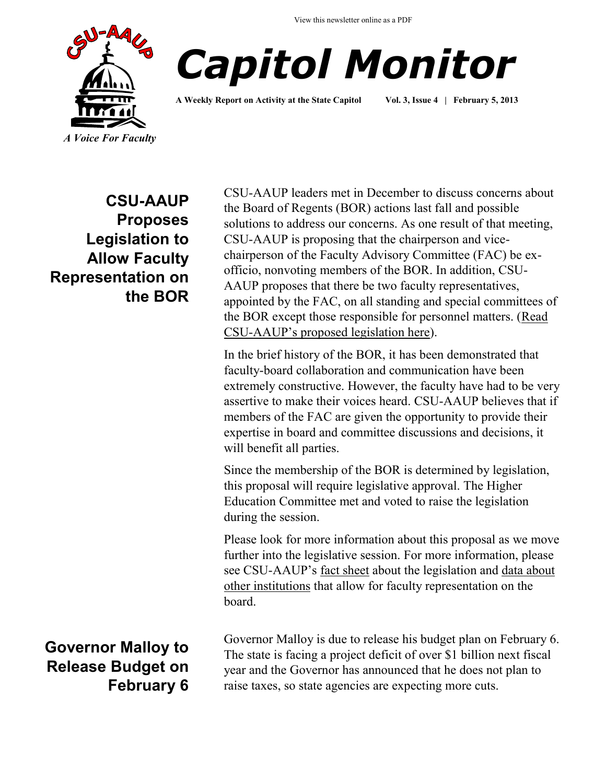View this newsletter online as a PDF





**A Weekly Report on Activity at the State Capitol Vol. 3, Issue 4 | February 5, 2013**

**CSU-AAUP Proposes Legislation to Allow Faculty Representation on the BOR**

**Governor Malloy to Release Budget on February 6**

CSU-AAUP leaders met in December to discuss concerns about the Board of Regents (BOR) actions last fall and possible solutions to address our concerns. As one result of that meeting, CSU-AAUP is proposing that the chairperson and vicechairperson of the Faculty Advisory Committee (FAC) be exofficio, nonvoting members of the BOR. In addition, CSU-AAUP proposes that there be two faculty representatives, appointed by the FAC, on all standing and special committees of the BOR except those responsible for personnel matters. (Read CSU-[AAUP's proposed legislation here](http://www.csuaaup.org/wp-content/uploads/2013/02/LegislationFacultyRepBdComm.pdf)).

In the brief history of the BOR, it has been demonstrated that faculty-board collaboration and communication have been extremely constructive. However, the faculty have had to be very assertive to make their voices heard. CSU-AAUP believes that if members of the FAC are given the opportunity to provide their expertise in board and committee discussions and decisions, it will benefit all parties.

Since the membership of the BOR is determined by legislation, this proposal will require legislative approval. The Higher Education Committee met and voted to raise the legislation during the session.

Please look for more information about this proposal as we move further into the legislative session. For more information, please see CSU-AAUP's [fact sheet](http://www.csuaaup.org/wp-content/uploads/2013/02/FACTSHEETBDCOMM.pdf) about the legislation and data about [other institutions](http://www.csuaaup.org/wp-content/uploads/2013/02/FacultyBdResearch.pdf) that allow for faculty representation on the board.

Governor Malloy is due to release his budget plan on February 6. The state is facing a project deficit of over \$1 billion next fiscal year and the Governor has announced that he does not plan to raise taxes, so state agencies are expecting more cuts.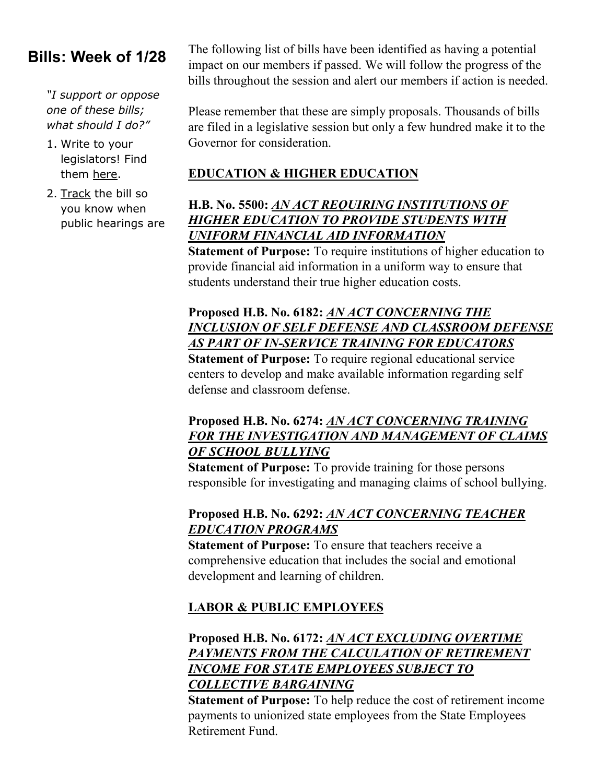# **Bills: Week of 1/28**

*"I support or oppose one of these bills; what should I do?"*

- 1. Write to your legislators! Find them [here.](http://www.cga.ct.gov/asp/menu/CGAFindLeg.asp)
- 2. [Track](http://www.cga.ct.gov/aspx/CGAPublicBillTrack/Register.aspx) the bill so you know when public hearings are

The following list of bills have been identified as having a potential impact on our members if passed. We will follow the progress of the bills throughout the session and alert our members if action is needed.

Please remember that these are simply proposals. Thousands of bills are filed in a legislative session but only a few hundred make it to the Governor for consideration.

#### **EDUCATION & HIGHER EDUCATION**

## **H.B. No. 5500:** *[AN ACT REQUIRING INSTITUTIONS OF](http://www.cga.ct.gov/asp/cgabillstatus/cgabillstatus.asp?selBillType=Bill&bill_num=HB05500&which_year=2013)  [HIGHER EDUCATION TO PROVIDE STUDENTS WITH](http://www.cga.ct.gov/asp/cgabillstatus/cgabillstatus.asp?selBillType=Bill&bill_num=HB05500&which_year=2013)  [UNIFORM FINANCIAL AID INFORMATION](http://www.cga.ct.gov/asp/cgabillstatus/cgabillstatus.asp?selBillType=Bill&bill_num=HB05500&which_year=2013)*

**Statement of Purpose:** To require institutions of higher education to provide financial aid information in a uniform way to ensure that students understand their true higher education costs.

#### **Proposed H.B. No. 6182:** *[AN ACT CONCERNING THE](http://www.cga.ct.gov/asp/cgabillstatus/cgabillstatus.asp?selBillType=Bill&bill_num=HB06182&which_year=2013)  [INCLUSION OF SELF DEFENSE AND CLASSROOM DEFENSE](http://www.cga.ct.gov/asp/cgabillstatus/cgabillstatus.asp?selBillType=Bill&bill_num=HB06182&which_year=2013)  [AS PART OF IN-SERVICE TRAINING FOR EDUCATORS](http://www.cga.ct.gov/asp/cgabillstatus/cgabillstatus.asp?selBillType=Bill&bill_num=HB06182&which_year=2013)*

**Statement of Purpose:** To require regional educational service centers to develop and make available information regarding self defense and classroom defense.

#### **Proposed H.B. No. 6274:** *[AN ACT CONCERNING TRAINING](http://www.cga.ct.gov/asp/cgabillstatus/cgabillstatus.asp?selBillType=Bill&bill_num=HB06274&which_year=2013)  [FOR THE INVESTIGATION AND MANAGEMENT OF CLAIMS](http://www.cga.ct.gov/asp/cgabillstatus/cgabillstatus.asp?selBillType=Bill&bill_num=HB06274&which_year=2013)  [OF SCHOOL BULLYING](http://www.cga.ct.gov/asp/cgabillstatus/cgabillstatus.asp?selBillType=Bill&bill_num=HB06274&which_year=2013)*

**Statement of Purpose:** To provide training for those persons responsible for investigating and managing claims of school bullying.

#### **Proposed H.B. No. 6292:** *[AN ACT CONCERNING TEACHER](http://www.cga.ct.gov/asp/cgabillstatus/cgabillstatus.asp?selBillType=Bill&bill_num=HB06292&which_year=2013)  [EDUCATION PROGRAMS](http://www.cga.ct.gov/asp/cgabillstatus/cgabillstatus.asp?selBillType=Bill&bill_num=HB06292&which_year=2013)*

**Statement of Purpose:** To ensure that teachers receive a comprehensive education that includes the social and emotional development and learning of children.

# **LABOR & PUBLIC EMPLOYEES**

## **Proposed H.B. No. 6172:** *[AN ACT EXCLUDING OVERTIME](http://www.cga.ct.gov/asp/cgabillstatus/cgabillstatus.asp?selBillType=Bill&bill_num=HB06172&which_year=2013)  [PAYMENTS FROM THE CALCULATION OF RETIREMENT](http://www.cga.ct.gov/asp/cgabillstatus/cgabillstatus.asp?selBillType=Bill&bill_num=HB06172&which_year=2013)  [INCOME FOR STATE EMPLOYEES SUBJECT TO](http://www.cga.ct.gov/asp/cgabillstatus/cgabillstatus.asp?selBillType=Bill&bill_num=HB06172&which_year=2013)  [COLLECTIVE BARGAINING](http://www.cga.ct.gov/asp/cgabillstatus/cgabillstatus.asp?selBillType=Bill&bill_num=HB06172&which_year=2013)*

**Statement of Purpose:** To help reduce the cost of retirement income payments to unionized state employees from the State Employees Retirement Fund.